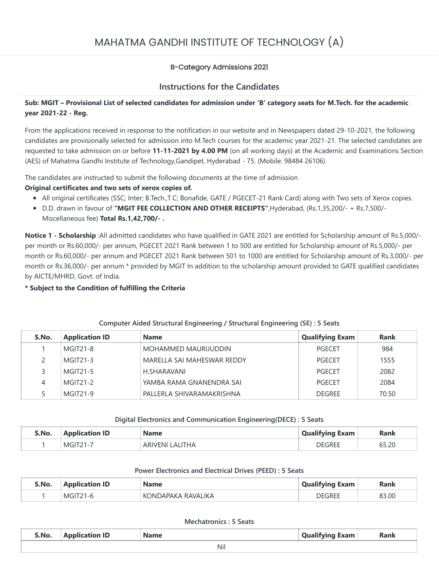# MAHATMA GANDHI INSTITUTE OF TECHNOLOGY (A)

# B-Category Admissions 2021

# **Instructions for the Candidates**

# **Sub: MGIT – Provisional List of selected candidates for admission under 'B' category seats for M.Tech. for the academic year 2021-22 - Reg.**

From the applications received in response to the notification in our website and in Newspapers dated 29-10-2021, the following candidates are provisionally selected for admission into M.Tech courses for the academic year 2021-21. The selected candidates are requested to take admission on or before **11-11-2021 by 4.00 PM** (on all working days) at the Academic and Examinations Section (AES) of Mahatma Gandhi Institute of Technology,Gandipet, Hyderabad - 75. (Mobile: 98484 26106)

The candidates are instructed to submit the following documents at the time of admission

## **Original certificates and two sets of xerox copies of.**

- All original certificates (SSC; Inter; B.Tech.,T.C; Bonafide, GATE / PGECET-21 Rank Card) along with Two sets of Xerox copies.
- D.D. drawn in favour of **"MGIT FEE COLLECTION AND OTHER RECEIPTS"**,Hyderabad, (Rs.1,35,200/- + Rs.7,500/- Miscellaneous fee) **Total Rs.1,42,700/- .**

**Notice 1 - Scholarship** :All admitted candidates who have qualified in GATE 2021 are entitled for Scholarship amount of Rs.5,000/ per month or Rs.60,000/- per annum, PGECET 2021 Rank between 1 to 500 are entitled for Scholarship amount of Rs.5,000/- per month or Rs.60,000/- per annum and PGECET 2021 Rank between 501 to 1000 are entitled for Scholarship amount of Rs.3,000/- per month or Rs.36,000/- per annum \* provided by MGIT In addition to the scholarship amount provided to GATE qualified candidates by AICTE/MHRD, Govt. of India.

## **\* Subject to the Condition of fulfilling the Criteria**

| S.No. | <b>Application ID</b> | <b>Name</b>                | <b>Qualifying Exam</b> | <b>Rank</b> |
|-------|-----------------------|----------------------------|------------------------|-------------|
|       | <b>MGIT21-8</b>       | MOHAMMED MAURIJUDDIN       | PGECET                 | 984         |
|       | <b>MGIT21-3</b>       | MARELLA SAI MAHESWAR REDDY | <b>PGFCFT</b>          | 1555        |
|       | MGIT <sub>21-5</sub>  | H.SHARAVANI                | PGFCFT                 | 2082        |
| 4     | $MGIT21-2$            | YAMBA RAMA GNANENDRA SAI   | PGFCFT                 | 2084        |
|       | <b>MGIT21-9</b>       | PALLERLA SHIVARAMAKRISHNA  | <b>DEGREE</b>          | 70.50       |

## **Computer Aided Structural Engineering / Structural Engineering (SE) : 5 Seats**

#### **Digital Electronics and Communication Engineering(DECE) : 5 Seats**

| S.No. | <b>Application ID</b> | <b>Name</b>            | <b>Qualifying Exam</b> | Rank  |
|-------|-----------------------|------------------------|------------------------|-------|
|       | <b>MGIT21-</b>        | LALITHA<br>. ARIVENI I | <b>DEGREF</b>          | 65.20 |

#### **Power Electronics and Electrical Drives (PEED) : 5 Seats**

| S.No. | <b>Application ID</b> | <b>Name</b>       | <b>Qualifying Exam</b> | Rank  |
|-------|-----------------------|-------------------|------------------------|-------|
|       | MGIT                  | ONDAPAKA RAVALIKA | DEGREE                 | 83.00 |

#### **Mechatronics : 5 Seats**

| S.No. | <b>Application ID</b> | <b>Name</b> | Qualifying<br>Exam | <b>Rank</b> |
|-------|-----------------------|-------------|--------------------|-------------|
|       |                       | Nil         |                    |             |